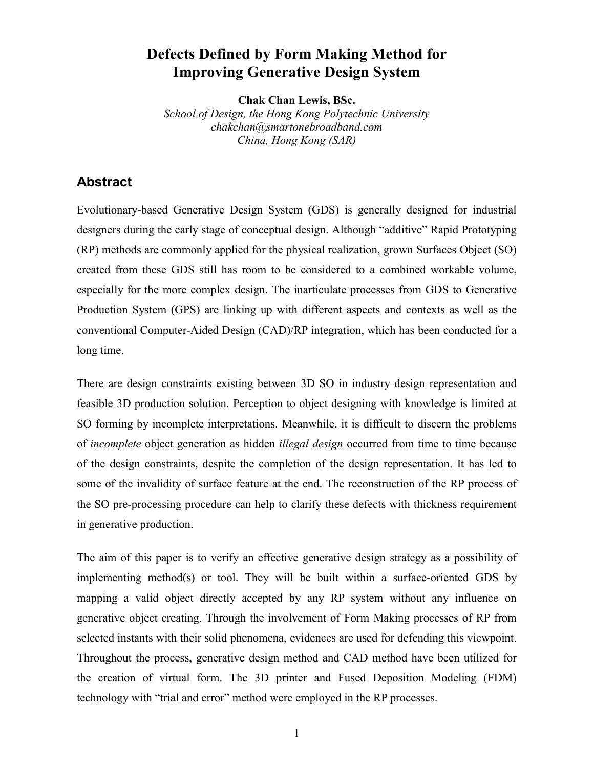# **Defects Defined by Form Making Method for Improving Generative Design System**

**Chak Chan Lewis, BSc.**

*School of Design, the Hong Kong Polytechnic University chakchan@smartonebroadband.com China, Hong Kong (SAR)*

# **Abstract**

Evolutionary-based Generative Design System (GDS) is generally designed for industrial designers during the early stage of conceptual design. Although "additive" Rapid Prototyping (RP) methods are commonly applied for the physical realization, grown Surfaces Object (SO) created from these GDS still has room to be considered to a combined workable volume, especially for the more complex design. The inarticulate processes from GDS to Generative Production System (GPS) are linking up with different aspects and contexts as well as the conventional Computer-Aided Design (CAD)/RP integration, which has been conducted for a long time.

There are design constraints existing between 3D SO in industry design representation and feasible 3D production solution. Perception to object designing with knowledge is limited at SO forming by incomplete interpretations. Meanwhile, it is difficult to discern the problems of *incomplete* object generation as hidden *illegal design* occurred from time to time because of the design constraints, despite the completion of the design representation. It has led to some of the invalidity of surface feature at the end. The reconstruction of the RP process of the SO pre-processing procedure can help to clarify these defects with thickness requirement in generative production.

The aim of this paper is to verify an effective generative design strategy as a possibility of implementing method(s) or tool. They will be built within a surface-oriented GDS by mapping a valid object directly accepted by any RP system without any influence on generative object creating. Through the involvement of Form Making processes of RP from selected instants with their solid phenomena, evidences are used for defending this viewpoint. Throughout the process, generative design method and CAD method have been utilized for the creation of virtual form. The 3D printer and Fused Deposition Modeling (FDM) technology with "trial and error" method were employed in the RP processes.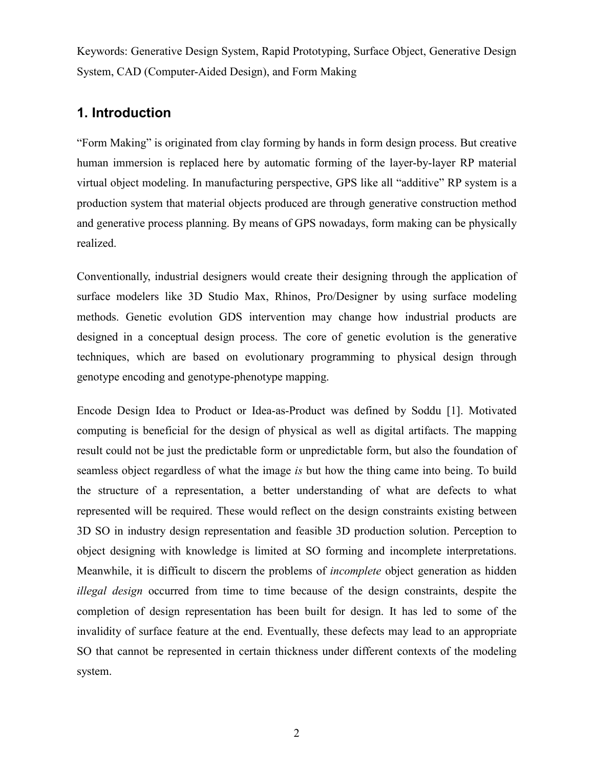Keywords: Generative Design System, Rapid Prototyping, Surface Object, Generative Design System, CAD (Computer-Aided Design), and Form Making

# **1. Introduction**

"Form Making" is originated from clay forming by hands in form design process. But creative human immersion is replaced here by automatic forming of the layer-by-layer RP material virtual object modeling. In manufacturing perspective, GPS like all "additive" RP system is a production system that material objects produced are through generative construction method and generative process planning. By means of GPS nowadays, form making can be physically realized.

Conventionally, industrial designers would create their designing through the application of surface modelers like 3D Studio Max, Rhinos, Pro/Designer by using surface modeling methods. Genetic evolution GDS intervention may change how industrial products are designed in a conceptual design process. The core of genetic evolution is the generative techniques, which are based on evolutionary programming to physical design through genotype encoding and genotype-phenotype mapping.

Encode Design Idea to Product or Idea-as-Product was defined by Soddu [1]. Motivated computing is beneficial for the design of physical as well as digital artifacts. The mapping result could not be just the predictable form or unpredictable form, but also the foundation of seamless object regardless of what the image *is* but how the thing came into being. To build the structure of a representation, a better understanding of what are defects to what represented will be required. These would reflect on the design constraints existing between 3D SO in industry design representation and feasible 3D production solution. Perception to object designing with knowledge is limited at SO forming and incomplete interpretations. Meanwhile, it is difficult to discern the problems of *incomplete* object generation as hidden *illegal design* occurred from time to time because of the design constraints, despite the completion of design representation has been built for design. It has led to some of the invalidity of surface feature at the end. Eventually, these defects may lead to an appropriate SO that cannot be represented in certain thickness under different contexts of the modeling system.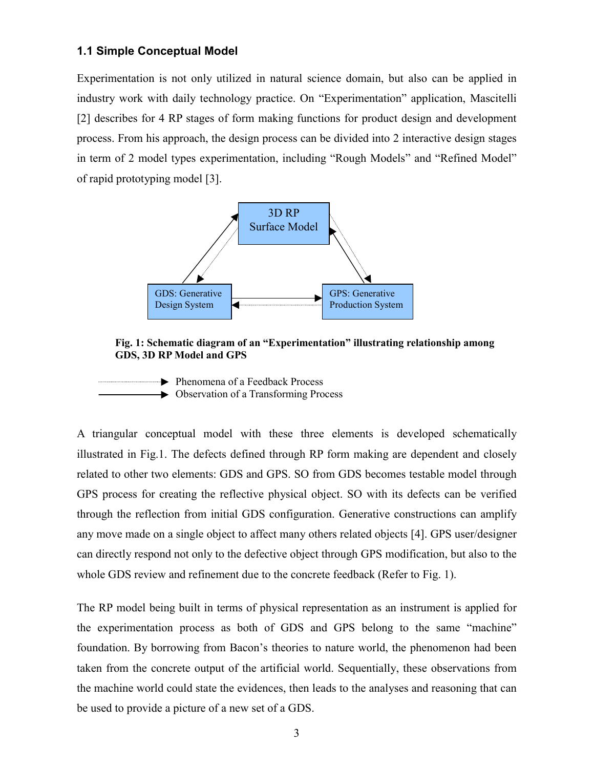## **1.1 Simple Conceptual Model**

Experimentation is not only utilized in natural science domain, but also can be applied in industry work with daily technology practice. On "Experimentation" application, Mascitelli [2] describes for 4 RP stages of form making functions for product design and development process. From his approach, the design process can be divided into 2 interactive design stages in term of 2 model types experimentation, including "Rough Models" and "Refined Model" of rapid prototyping model [3].



### **Fig. 1: Schematic diagram of an "Experimentation" illustrating relationship among GDS, 3D RP Model and GPS**

► Phenomena of a Feedback Process  $\rightarrow$  Observation of a Transforming Process

A triangular conceptual model with these three elements is developed schematically illustrated in Fig.1. The defects defined through RP form making are dependent and closely related to other two elements: GDS and GPS. SO from GDS becomes testable model through GPS process for creating the reflective physical object. SO with its defects can be verified through the reflection from initial GDS configuration. Generative constructions can amplify any move made on a single object to affect many others related objects [4]. GPS user/designer can directly respond not only to the defective object through GPS modification, but also to the whole GDS review and refinement due to the concrete feedback (Refer to Fig. 1).

The RP model being built in terms of physical representation as an instrument is applied for the experimentation process as both of GDS and GPS belong to the same "machine" foundation. By borrowing from Bacon's theories to nature world, the phenomenon had been taken from the concrete output of the artificial world. Sequentially, these observations from the machine world could state the evidences, then leads to the analyses and reasoning that can be used to provide a picture of a new set of a GDS.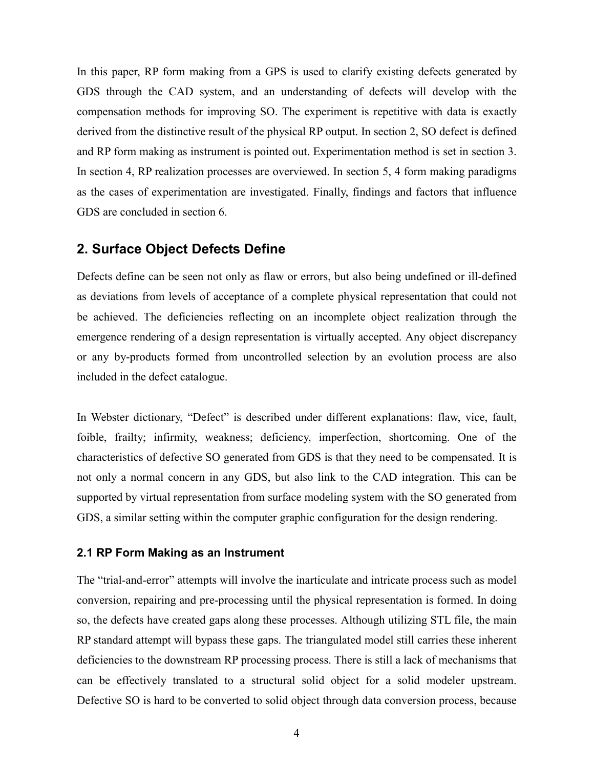In this paper, RP form making from a GPS is used to clarify existing defects generated by GDS through the CAD system, and an understanding of defects will develop with the compensation methods for improving SO. The experiment is repetitive with data is exactly derived from the distinctive result of the physical RP output. In section 2, SO defect is defined and RP form making as instrument is pointed out. Experimentation method is set in section 3. In section 4, RP realization processes are overviewed. In section 5, 4 form making paradigms as the cases of experimentation are investigated. Finally, findings and factors that influence GDS are concluded in section 6.

# **2. Surface Object Defects Define**

Defects define can be seen not only as flaw or errors, but also being undefined or ill-defined as deviations from levels of acceptance of a complete physical representation that could not be achieved. The deficiencies reflecting on an incomplete object realization through the emergence rendering of a design representation is virtually accepted. Any object discrepancy or any by-products formed from uncontrolled selection by an evolution process are also included in the defect catalogue.

In Webster dictionary, "Defect" is described under different explanations: flaw, vice, fault, foible, frailty; infirmity, weakness; deficiency, imperfection, shortcoming. One of the characteristics of defective SO generated from GDS is that they need to be compensated. It is not only a normal concern in any GDS, but also link to the CAD integration. This can be supported by virtual representation from surface modeling system with the SO generated from GDS, a similar setting within the computer graphic configuration for the design rendering.

#### **2.1 RP Form Making as an Instrument**

The "trial-and-error" attempts will involve the inarticulate and intricate process such as model conversion, repairing and pre-processing until the physical representation is formed. In doing so, the defects have created gaps along these processes. Although utilizing STL file, the main RP standard attempt will bypass these gaps. The triangulated model still carries these inherent deficiencies to the downstream RP processing process. There is still a lack of mechanisms that can be effectively translated to a structural solid object for a solid modeler upstream. Defective SO is hard to be converted to solid object through data conversion process, because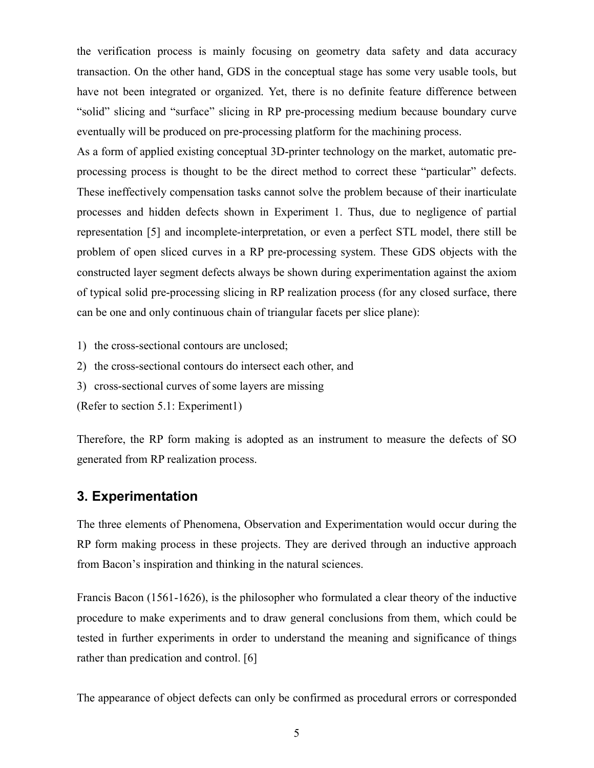the verification process is mainly focusing on geometry data safety and data accuracy transaction. On the other hand, GDS in the conceptual stage has some very usable tools, but have not been integrated or organized. Yet, there is no definite feature difference between "solid" slicing and "surface" slicing in RP pre-processing medium because boundary curve eventually will be produced on pre-processing platform for the machining process.

As a form of applied existing conceptual 3D-printer technology on the market, automatic preprocessing process is thought to be the direct method to correct these "particular" defects. These ineffectively compensation tasks cannot solve the problem because of their inarticulate processes and hidden defects shown in Experiment 1. Thus, due to negligence of partial representation [5] and incomplete-interpretation, or even a perfect STL model, there still be problem of open sliced curves in a RP pre-processing system. These GDS objects with the constructed layer segment defects always be shown during experimentation against the axiom of typical solid pre-processing slicing in RP realization process (for any closed surface, there can be one and only continuous chain of triangular facets per slice plane):

1) the cross-sectional contours are unclosed;

2) the cross-sectional contours do intersect each other, and

3) cross-sectional curves of some layers are missing

(Refer to section 5.1: Experiment1)

Therefore, the RP form making is adopted as an instrument to measure the defects of SO generated from RP realization process.

# **3. Experimentation**

The three elements of Phenomena, Observation and Experimentation would occur during the RP form making process in these projects. They are derived through an inductive approach from Bacon's inspiration and thinking in the natural sciences.

Francis Bacon (1561-1626), is the philosopher who formulated a clear theory of the inductive procedure to make experiments and to draw general conclusions from them, which could be tested in further experiments in order to understand the meaning and significance of things rather than predication and control. [6]

The appearance of object defects can only be confirmed as procedural errors or corresponded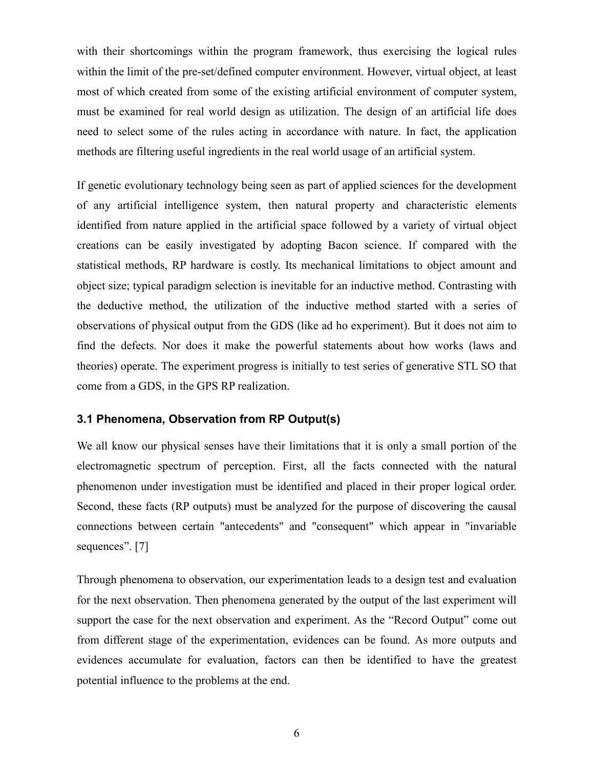with their shortcomings within the program framework, thus exercising the logical rules within the limit of the pre-set/defined computer environment. However, virtual object, at least most of which created from some of the existing artificial environment of computer system, must be examined for real world design as utilization. The design of an artificial life does need to select some of the rules acting in accordance with nature. In fact, the application methods are filtering useful ingredients in the real world usage of an artificial system.

If genetic evolutionary technology being seen as part of applied sciences for the development of any artificial intelligence system, then natural property and characteristic elements identified from nature applied in the artificial space followed by a variety of virtual object creations can be easily investigated by adopting Bacon science. If compared with the statistical methods, RP hardware is costly. Its mechanical limitations to object amount and object size; typical paradigm selection is inevitable for an inductive method. Contrasting with the deductive method, the utilization of the inductive method started with a series of observations of physical output from the GDS (like ad ho experiment). But it does not aim to find the defects. Nor does it make the powerful statements about how works (laws and theories) operate. The experiment progress is initially to test series of generative STL SO that come from a GDS, in the GPS RP realization.

## **3.1 Phenomena, Observation from RP Output(s)**

We all know our physical senses have their limitations that it is only a small portion of the electromagnetic spectrum of perception. First, all the facts connected with the natural phenomenon under investigation must be identified and placed in their proper logical order. Second, these facts (RP outputs) must be analyzed for the purpose of discovering the causal connections between certain "antecedents" and "consequent" which appear in "invariable sequences". [7]

Through phenomena to observation, our experimentation leads to a design test and evaluation for the next observation. Then phenomena generated by the output of the last experiment will support the case for the next observation and experiment. As the "Record Output" come out from different stage of the experimentation, evidences can be found. As more outputs and evidences accumulate for evaluation, factors can then be identified to have the greatest potential influence to the problems at the end.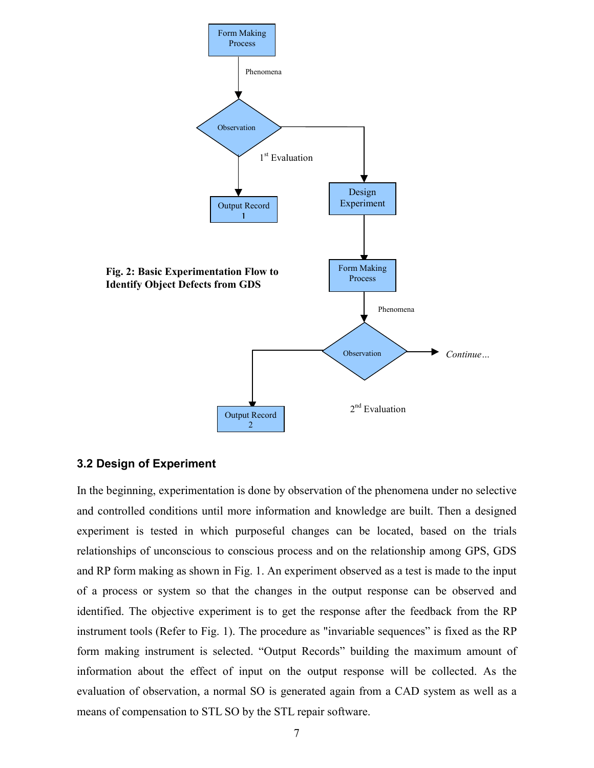

## **3.2 Design of Experiment**

In the beginning, experimentation is done by observation of the phenomena under no selective and controlled conditions until more information and knowledge are built. Then a designed experiment is tested in which purposeful changes can be located, based on the trials relationships of unconscious to conscious process and on the relationship among GPS, GDS and RP form making as shown in Fig. 1. An experiment observed as a test is made to the input of a process or system so that the changes in the output response can be observed and identified. The objective experiment is to get the response after the feedback from the RP instrument tools (Refer to Fig. 1). The procedure as "invariable sequences" is fixed as the RP form making instrument is selected. "Output Records" building the maximum amount of information about the effect of input on the output response will be collected. As the evaluation of observation, a normal SO is generated again from a CAD system as well as a means of compensation to STL SO by the STL repair software.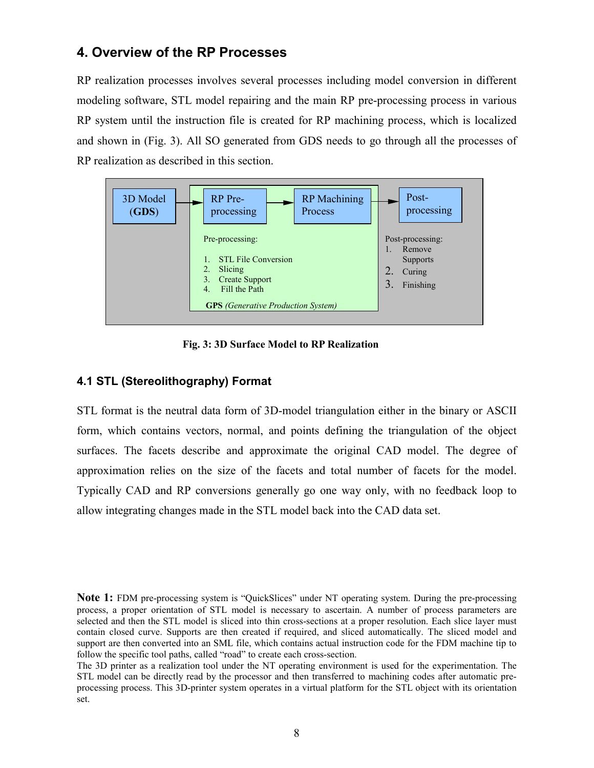# **4. Overview of the RP Processes**

RP realization processes involves several processes including model conversion in different modeling software, STL model repairing and the main RP pre-processing process in various RP system until the instruction file is created for RP machining process, which is localized and shown in (Fig. 3). All SO generated from GDS needs to go through all the processes of RP realization as described in this section.



**Fig. 3: 3D Surface Model to RP Realization**

# **4.1 STL (Stereolithography) Format**

STL format is the neutral data form of 3D-model triangulation either in the binary or ASCII form, which contains vectors, normal, and points defining the triangulation of the object surfaces. The facets describe and approximate the original CAD model. The degree of approximation relies on the size of the facets and total number of facets for the model. Typically CAD and RP conversions generally go one way only, with no feedback loop to allow integrating changes made in the STL model back into the CAD data set.

**Note 1:** FDM pre-processing system is "QuickSlices" under NT operating system. During the pre-processing process, a proper orientation of STL model is necessary to ascertain. A number of process parameters are selected and then the STL model is sliced into thin cross-sections at a proper resolution. Each slice layer must contain closed curve. Supports are then created if required, and sliced automatically. The sliced model and support are then converted into an SML file, which contains actual instruction code for the FDM machine tip to follow the specific tool paths, called "road" to create each cross-section.

The 3D printer as a realization tool under the NT operating environment is used for the experimentation. The STL model can be directly read by the processor and then transferred to machining codes after automatic preprocessing process. This 3D-printer system operates in a virtual platform for the STL object with its orientation set.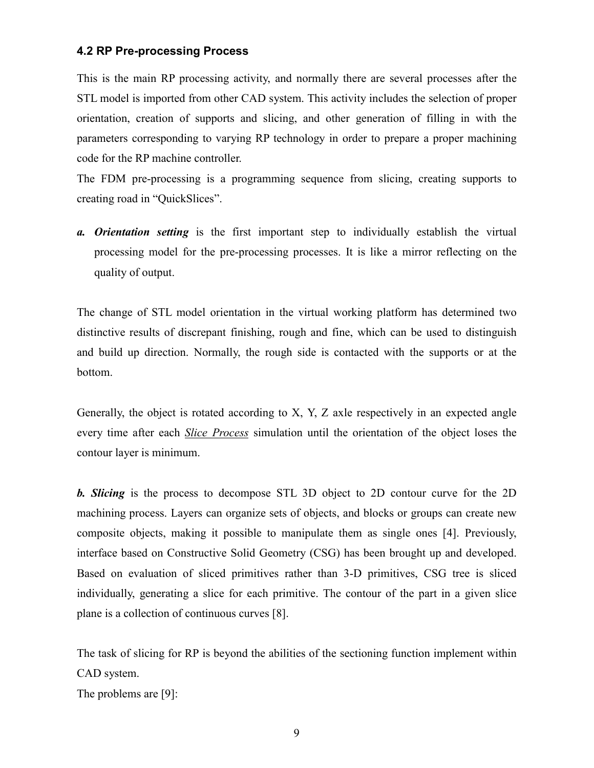## **4.2 RP Pre-processing Process**

This is the main RP processing activity, and normally there are several processes after the STL model is imported from other CAD system. This activity includes the selection of proper orientation, creation of supports and slicing, and other generation of filling in with the parameters corresponding to varying RP technology in order to prepare a proper machining code for the RP machine controller.

The FDM pre-processing is a programming sequence from slicing, creating supports to creating road in "QuickSlices".

*a. Orientation setting* is the first important step to individually establish the virtual processing model for the pre-processing processes. It is like a mirror reflecting on the quality of output.

The change of STL model orientation in the virtual working platform has determined two distinctive results of discrepant finishing, rough and fine, which can be used to distinguish and build up direction. Normally, the rough side is contacted with the supports or at the bottom.

Generally, the object is rotated according to X, Y, Z axle respectively in an expected angle every time after each *Slice Process* simulation until the orientation of the object loses the contour layer is minimum.

*b. Slicing* is the process to decompose STL 3D object to 2D contour curve for the 2D machining process. Layers can organize sets of objects, and blocks or groups can create new composite objects, making it possible to manipulate them as single ones [4]. Previously, interface based on Constructive Solid Geometry (CSG) has been brought up and developed. Based on evaluation of sliced primitives rather than 3-D primitives, CSG tree is sliced individually, generating a slice for each primitive. The contour of the part in a given slice plane is a collection of continuous curves [8].

The task of slicing for RP is beyond the abilities of the sectioning function implement within CAD system.

The problems are [9]: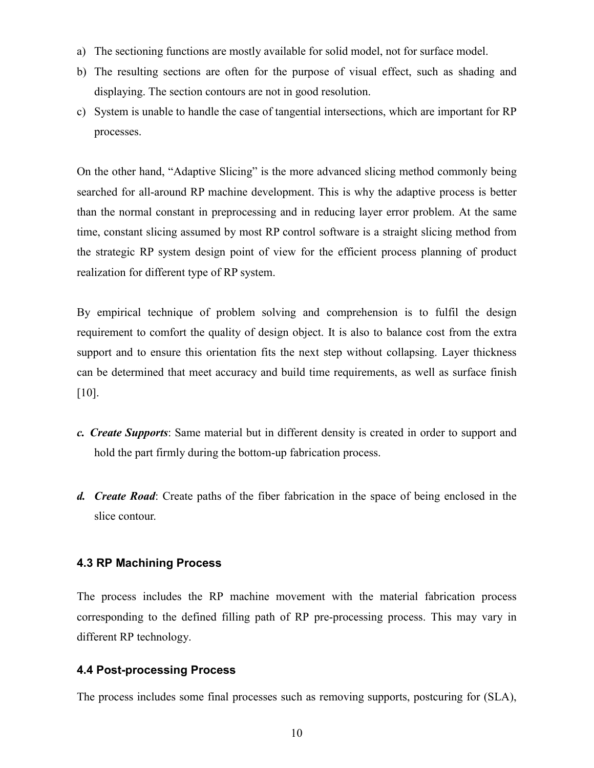- a) The sectioning functions are mostly available for solid model, not for surface model.
- b) The resulting sections are often for the purpose of visual effect, such as shading and displaying. The section contours are not in good resolution.
- c) System is unable to handle the case of tangential intersections, which are important for RP processes.

On the other hand, "Adaptive Slicing" is the more advanced slicing method commonly being searched for all-around RP machine development. This is why the adaptive process is better than the normal constant in preprocessing and in reducing layer error problem. At the same time, constant slicing assumed by most RP control software is a straight slicing method from the strategic RP system design point of view for the efficient process planning of product realization for different type of RP system.

By empirical technique of problem solving and comprehension is to fulfil the design requirement to comfort the quality of design object. It is also to balance cost from the extra support and to ensure this orientation fits the next step without collapsing. Layer thickness can be determined that meet accuracy and build time requirements, as well as surface finish [10].

- *c. Create Supports*: Same material but in different density is created in order to support and hold the part firmly during the bottom-up fabrication process.
- *d. Create Road*: Create paths of the fiber fabrication in the space of being enclosed in the slice contour.

## **4.3 RP Machining Process**

The process includes the RP machine movement with the material fabrication process corresponding to the defined filling path of RP pre-processing process. This may vary in different RP technology.

### **4.4 Post-processing Process**

The process includes some final processes such as removing supports, postcuring for (SLA),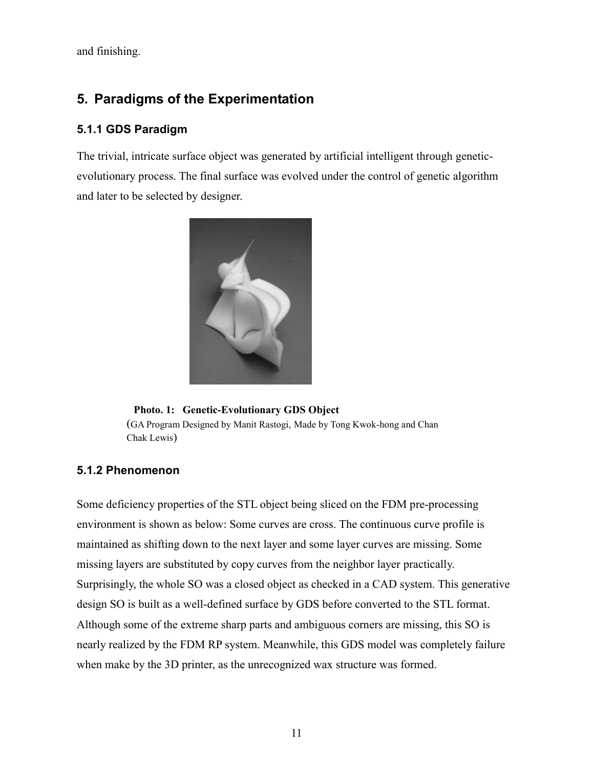and finishing.

# **5. Paradigms of the Experimentation**

## **5.1.1 GDS Paradigm**

The trivial, intricate surface object was generated by artificial intelligent through geneticevolutionary process. The final surface was evolved under the control of genetic algorithm and later to be selected by designer.



(GA Program Designed by Manit Rastogi, Made by Tong Kwok-hong and Chan Chak Lewis) **Photo. 1: Genetic-Evolutionary GDS Object**

## **5.1.2 Phenomenon**

Some deficiency properties of the STL object being sliced on the FDM pre-processing environment is shown as below: Some curves are cross. The continuous curve profile is maintained as shifting down to the next layer and some layer curves are missing. Some missing layers are substituted by copy curves from the neighbor layer practically. Surprisingly, the whole SO was a closed object as checked in a CAD system. This generative design SO is built as a well-defined surface by GDS before converted to the STL format. Although some of the extreme sharp parts and ambiguous corners are missing, this SO is nearly realized by the FDM RP system. Meanwhile, this GDS model was completely failure when make by the 3D printer, as the unrecognized wax structure was formed.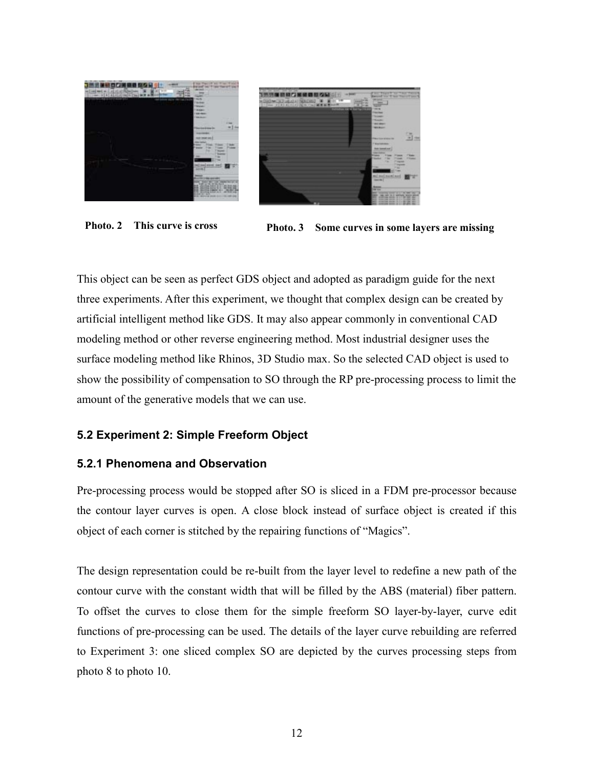

**Photo. 2 This curve is cross Photo. 3 Some curves in some layers are missing**

This object can be seen as perfect GDS object and adopted as paradigm guide for the next three experiments. After this experiment, we thought that complex design can be created by artificial intelligent method like GDS. It may also appear commonly in conventional CAD modeling method or other reverse engineering method. Most industrial designer uses the surface modeling method like Rhinos, 3D Studio max. So the selected CAD object is used to show the possibility of compensation to SO through the RP pre-processing process to limit the amount of the generative models that we can use.

## **5.2 Experiment 2: Simple Freeform Object**

## **5.2.1 Phenomena and Observation**

Pre-processing process would be stopped after SO is sliced in a FDM pre-processor because the contour layer curves is open. A close block instead of surface object is created if this object of each corner is stitched by the repairing functions of "Magics".

The design representation could be re-built from the layer level to redefine a new path of the contour curve with the constant width that will be filled by the ABS (material) fiber pattern. To offset the curves to close them for the simple freeform SO layer-by-layer, curve edit functions of pre-processing can be used. The details of the layer curve rebuilding are referred to Experiment 3: one sliced complex SO are depicted by the curves processing steps from photo 8 to photo 10.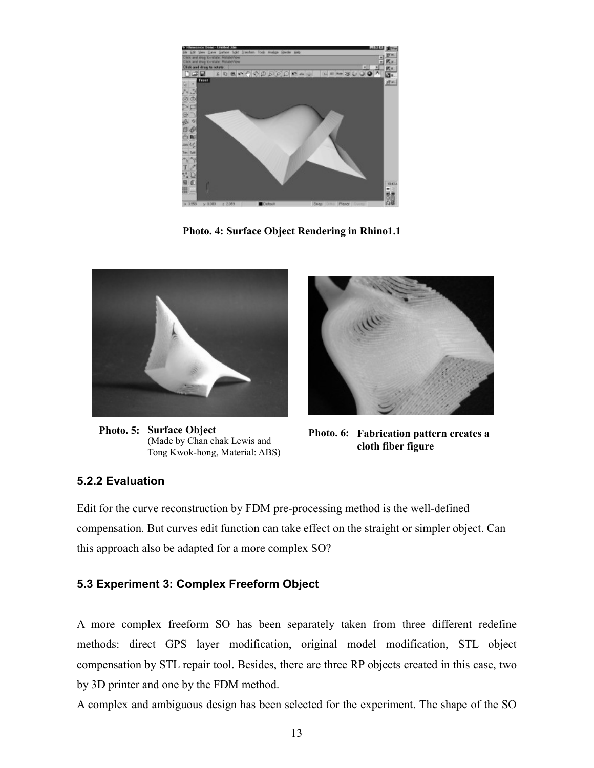

**Photo. 4: Surface Object Rendering in Rhino1.1**



**Photo. 5: Surface Object** (Made by Chan chak Lewis and Tong Kwok-hong, Material: ABS)



**Photo. 6: Fabrication pattern creates a cloth fiber figure**

# **5.2.2 Evaluation**

Edit for the curve reconstruction by FDM pre-processing method is the well-defined compensation. But curves edit function can take effect on the straight or simpler object. Can this approach also be adapted for a more complex SO?

# **5.3 Experiment 3: Complex Freeform Object**

A more complex freeform SO has been separately taken from three different redefine methods: direct GPS layer modification, original model modification, STL object compensation by STL repair tool. Besides, there are three RP objects created in this case, two by 3D printer and one by the FDM method.

A complex and ambiguous design has been selected for the experiment. The shape of the SO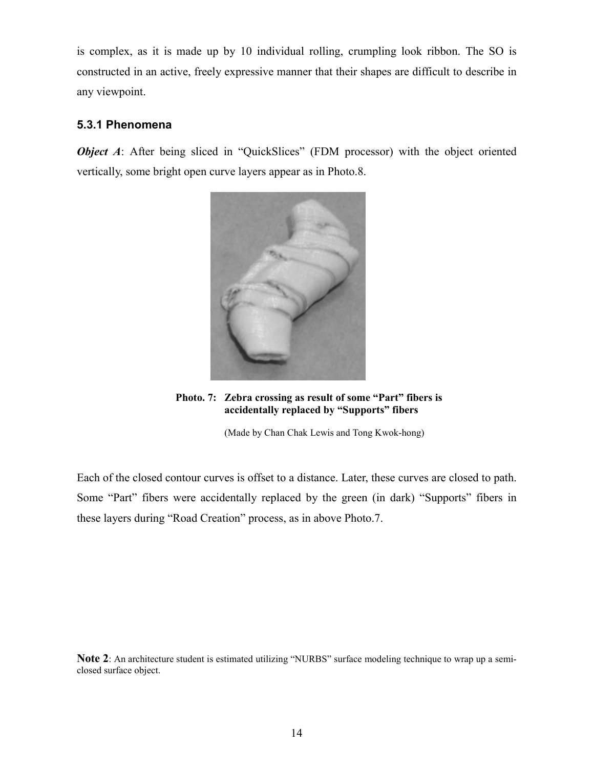is complex, as it is made up by 10 individual rolling, crumpling look ribbon. The SO is constructed in an active, freely expressive manner that their shapes are difficult to describe in any viewpoint.

## **5.3.1 Phenomena**

*Object A*: After being sliced in "QuickSlices" (FDM processor) with the object oriented vertically, some bright open curve layers appear as in Photo.8.



**Photo. 7: Zebra crossing as result of some "Part" fibers is accidentally replaced by "Supports" fibers**

(Made by Chan Chak Lewis and Tong Kwok-hong)

Each of the closed contour curves is offset to a distance. Later, these curves are closed to path. Some "Part" fibers were accidentally replaced by the green (in dark) "Supports" fibers in these layers during "Road Creation" process, as in above Photo.7.

**Note 2**: An architecture student is estimated utilizing "NURBS" surface modeling technique to wrap up a semiclosed surface object.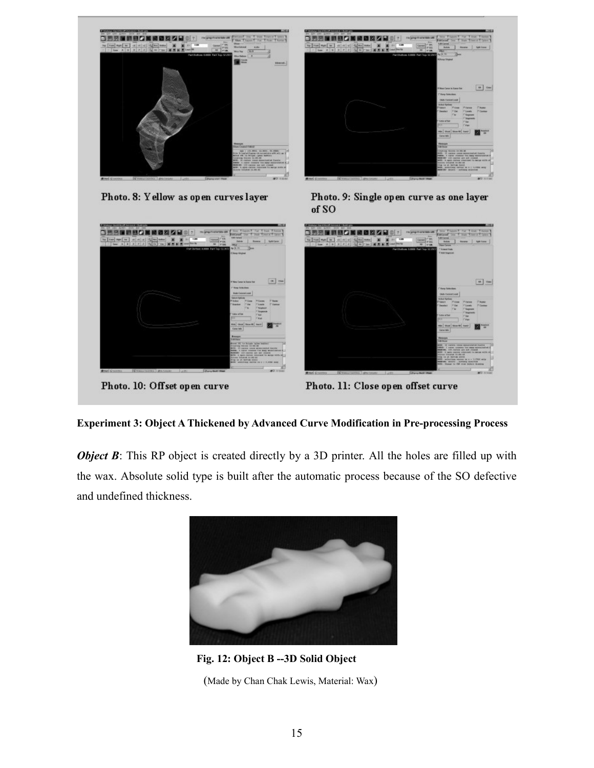

**Experiment 3: Object A Thickened by Advanced Curve Modification in Pre-processing Process**

*Object B*: This RP object is created directly by a 3D printer. All the holes are filled up with the wax. Absolute solid type is built after the automatic process because of the SO defective and undefined thickness.



**Fig. 12: Object B --3D Solid Object** (Made by Chan Chak Lewis, Material: Wax)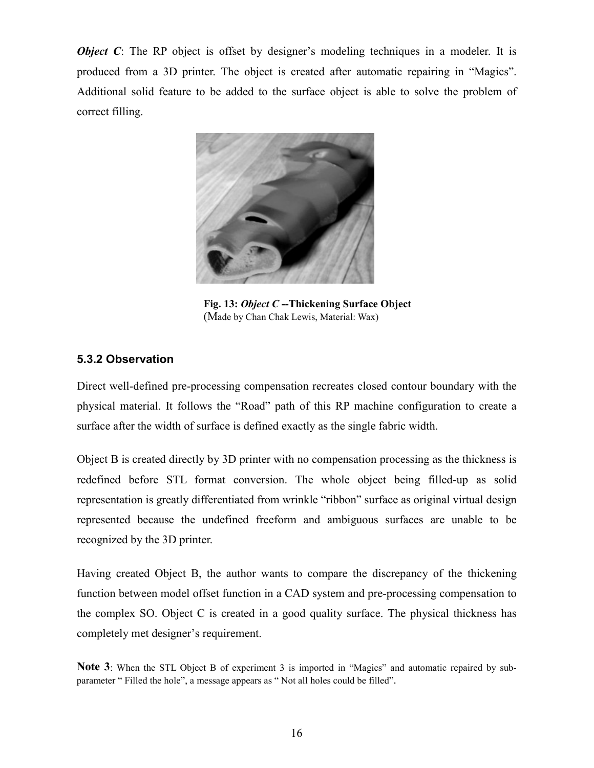*Object C*: The RP object is offset by designer's modeling techniques in a modeler. It is produced from a 3D printer. The object is created after automatic repairing in "Magics". Additional solid feature to be added to the surface object is able to solve the problem of correct filling.



**Fig. 13:** *Object C* **--Thickening Surface Object** (Made by Chan Chak Lewis, Material: Wax)

# **5.3.2 Observation**

Direct well-defined pre-processing compensation recreates closed contour boundary with the physical material. It follows the "Road" path of this RP machine configuration to create a surface after the width of surface is defined exactly as the single fabric width.

Object B is created directly by 3D printer with no compensation processing as the thickness is redefined before STL format conversion. The whole object being filled-up as solid representation is greatly differentiated from wrinkle "ribbon" surface as original virtual design represented because the undefined freeform and ambiguous surfaces are unable to be recognized by the 3D printer.

Having created Object B, the author wants to compare the discrepancy of the thickening function between model offset function in a CAD system and pre-processing compensation to the complex SO. Object C is created in a good quality surface. The physical thickness has completely met designer's requirement.

**Note 3**: When the STL Object B of experiment 3 is imported in "Magics" and automatic repaired by subparameter " Filled the hole", a message appears as " Not all holes could be filled".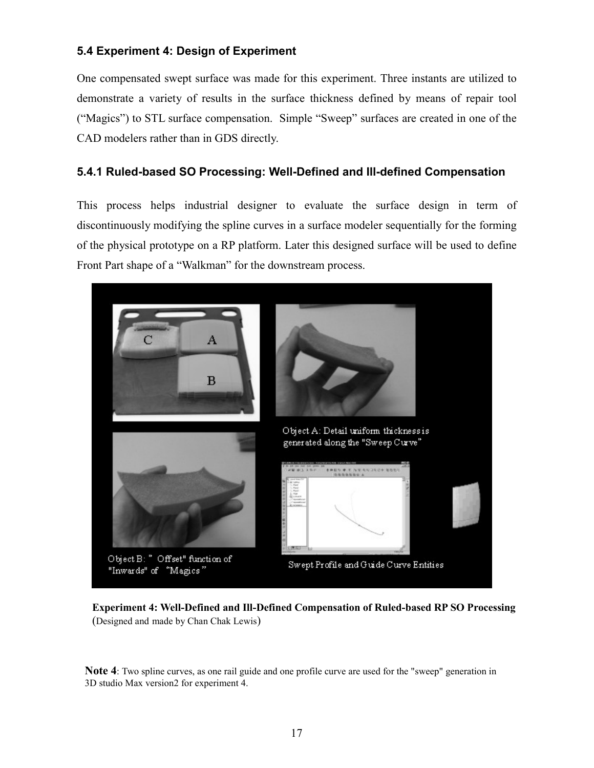# **5.4 Experiment 4: Design of Experiment**

One compensated swept surface was made for this experiment. Three instants are utilized to demonstrate a variety of results in the surface thickness defined by means of repair tool ("Magics") to STL surface compensation. Simple "Sweep" surfaces are created in one of the CAD modelers rather than in GDS directly.

# **5.4.1 Ruled-based SO Processing: Well-Defined and Ill-defined Compensation**

This process helps industrial designer to evaluate the surface design in term of discontinuously modifying the spline curves in a surface modeler sequentially for the forming of the physical prototype on a RP platform. Later this designed surface will be used to define Front Part shape of a "Walkman" for the downstream process.



**Experiment 4: Well-Defined and Ill-Defined Compensation of Ruled-based RP SO Processing** (Designed and made by Chan Chak Lewis)

**Note 4**: Two spline curves, as one rail guide and one profile curve are used for the "sweep" generation in 3D studio Max version2 for experiment 4.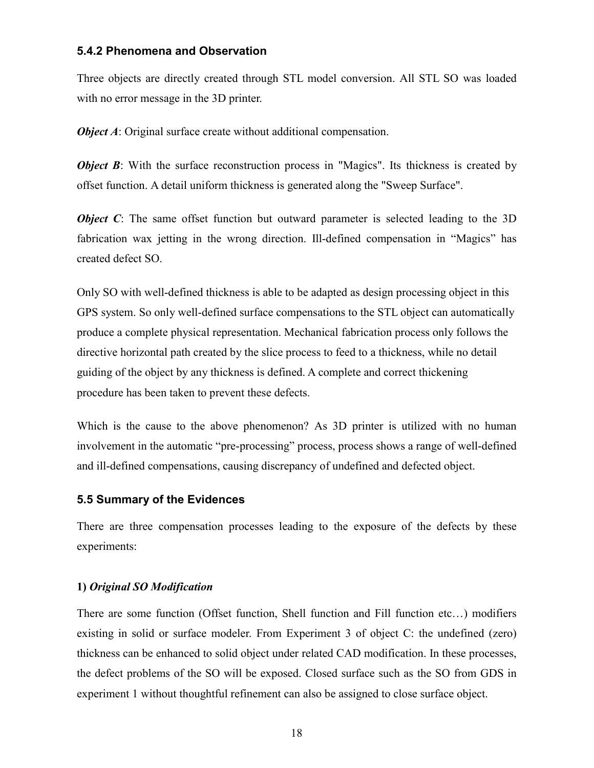### **5.4.2 Phenomena and Observation**

Three objects are directly created through STL model conversion. All STL SO was loaded with no error message in the 3D printer.

*Object A*: Original surface create without additional compensation.

*Object B*: With the surface reconstruction process in "Magics". Its thickness is created by offset function. A detail uniform thickness is generated along the "Sweep Surface".

*Object C*: The same offset function but outward parameter is selected leading to the 3D fabrication wax jetting in the wrong direction. Ill-defined compensation in "Magics" has created defect SO.

Only SO with well-defined thickness is able to be adapted as design processing object in this GPS system. So only well-defined surface compensations to the STL object can automatically produce a complete physical representation. Mechanical fabrication process only follows the directive horizontal path created by the slice process to feed to a thickness, while no detail guiding of the object by any thickness is defined. A complete and correct thickening procedure has been taken to prevent these defects.

Which is the cause to the above phenomenon? As 3D printer is utilized with no human involvement in the automatic "pre-processing" process, process shows a range of well-defined and ill-defined compensations, causing discrepancy of undefined and defected object.

## **5.5 Summary of the Evidences**

There are three compensation processes leading to the exposure of the defects by these experiments:

### **1)** *Original SO Modification*

There are some function (Offset function, Shell function and Fill function etc…) modifiers existing in solid or surface modeler. From Experiment 3 of object C: the undefined (zero) thickness can be enhanced to solid object under related CAD modification. In these processes, the defect problems of the SO will be exposed. Closed surface such as the SO from GDS in experiment 1 without thoughtful refinement can also be assigned to close surface object.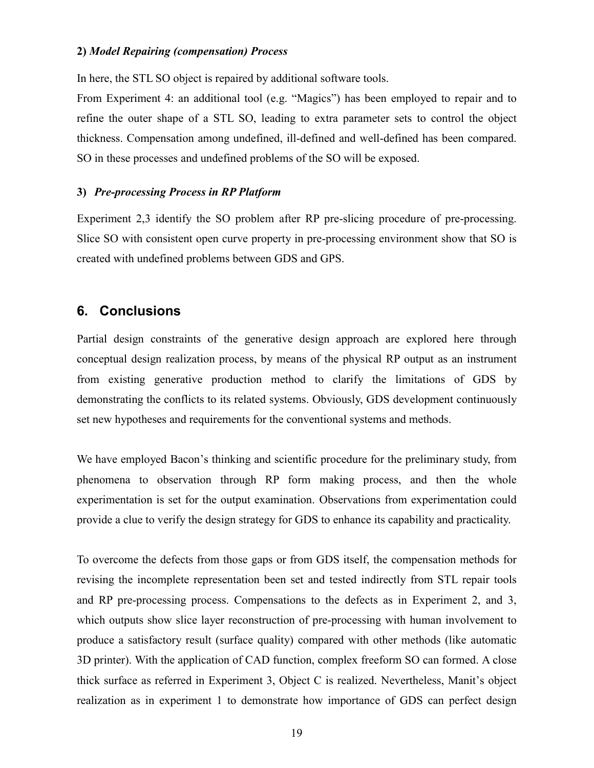#### **2)** *Model Repairing (compensation) Process*

In here, the STL SO object is repaired by additional software tools.

From Experiment 4: an additional tool (e.g. "Magics") has been employed to repair and to refine the outer shape of a STL SO, leading to extra parameter sets to control the object thickness. Compensation among undefined, ill-defined and well-defined has been compared. SO in these processes and undefined problems of the SO will be exposed.

#### **3)** *Pre-processing Process in RP Platform*

Experiment 2,3 identify the SO problem after RP pre-slicing procedure of pre-processing. Slice SO with consistent open curve property in pre-processing environment show that SO is created with undefined problems between GDS and GPS.

## **6. Conclusions**

Partial design constraints of the generative design approach are explored here through conceptual design realization process, by means of the physical RP output as an instrument from existing generative production method to clarify the limitations of GDS by demonstrating the conflicts to its related systems. Obviously, GDS development continuously set new hypotheses and requirements for the conventional systems and methods.

We have employed Bacon's thinking and scientific procedure for the preliminary study, from phenomena to observation through RP form making process, and then the whole experimentation is set for the output examination. Observations from experimentation could provide a clue to verify the design strategy for GDS to enhance its capability and practicality.

To overcome the defects from those gaps or from GDS itself, the compensation methods for revising the incomplete representation been set and tested indirectly from STL repair tools and RP pre-processing process. Compensations to the defects as in Experiment 2, and 3, which outputs show slice layer reconstruction of pre-processing with human involvement to produce a satisfactory result (surface quality) compared with other methods (like automatic 3D printer). With the application of CAD function, complex freeform SO can formed. A close thick surface as referred in Experiment 3, Object C is realized. Nevertheless, Manit's object realization as in experiment 1 to demonstrate how importance of GDS can perfect design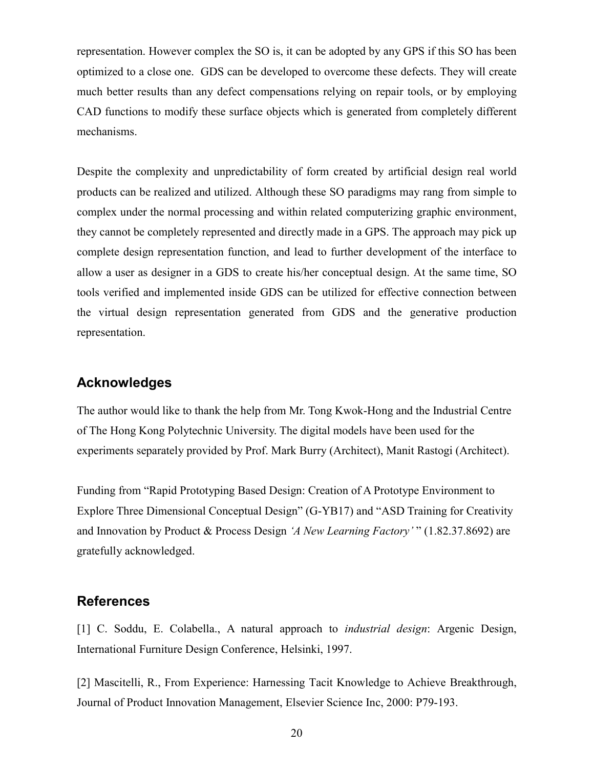representation. However complex the SO is, it can be adopted by any GPS if this SO has been optimized to a close one. GDS can be developed to overcome these defects. They will create much better results than any defect compensations relying on repair tools, or by employing CAD functions to modify these surface objects which is generated from completely different mechanisms.

Despite the complexity and unpredictability of form created by artificial design real world products can be realized and utilized. Although these SO paradigms may rang from simple to complex under the normal processing and within related computerizing graphic environment, they cannot be completely represented and directly made in a GPS. The approach may pick up complete design representation function, and lead to further development of the interface to allow a user as designer in a GDS to create his/her conceptual design. At the same time, SO tools verified and implemented inside GDS can be utilized for effective connection between the virtual design representation generated from GDS and the generative production representation.

# **Acknowledges**

The author would like to thank the help from Mr. Tong Kwok-Hong and the Industrial Centre of The Hong Kong Polytechnic University. The digital models have been used for the experiments separately provided by Prof. Mark Burry (Architect), Manit Rastogi (Architect).

Funding from "Rapid Prototyping Based Design: Creation of A Prototype Environment to Explore Three Dimensional Conceptual Design" (G-YB17) and "ASD Training for Creativity and Innovation by Product & Process Design *'A New Learning Factory'* " (1.82.37.8692) are gratefully acknowledged.

# **References**

[1] C. Soddu, E. Colabella., A natural approach to *industrial design*: Argenic Design, International Furniture Design Conference, Helsinki, 1997.

[2] Mascitelli, R., From Experience: Harnessing Tacit Knowledge to Achieve Breakthrough, Journal of Product Innovation Management, Elsevier Science Inc, 2000: P79-193.